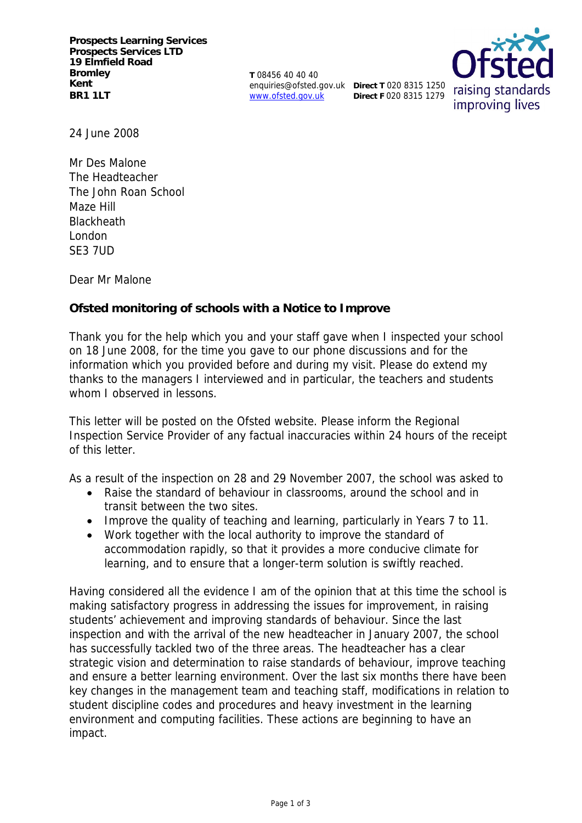**Prospects Learning Services Prospects Services LTD 19 Elmfield Road Bromley Kent BR1 1LT**

**T** 08456 40 40 40 enquiries@ofsted.gov.uk **Direct T** 020 8315 1250 www.ofsted.gov.uk

**Direct F** 020 8315 1279



24 June 2008

Mr Des Malone The Headteacher The John Roan School Maze Hill **Blackheath** London SE3 7UD

Dear Mr Malone

**Ofsted monitoring of schools with a Notice to Improve**

Thank you for the help which you and your staff gave when I inspected your school on 18 June 2008, for the time you gave to our phone discussions and for the information which you provided before and during my visit. Please do extend my thanks to the managers I interviewed and in particular, the teachers and students whom I observed in lessons.

This letter will be posted on the Ofsted website. Please inform the Regional Inspection Service Provider of any factual inaccuracies within 24 hours of the receipt of this letter.

As a result of the inspection on 28 and 29 November 2007, the school was asked to

- Raise the standard of behaviour in classrooms, around the school and in transit between the two sites.
- Improve the quality of teaching and learning, particularly in Years 7 to 11.
- Work together with the local authority to improve the standard of accommodation rapidly, so that it provides a more conducive climate for learning, and to ensure that a longer-term solution is swiftly reached.

Having considered all the evidence I am of the opinion that at this time the school is making satisfactory progress in addressing the issues for improvement, in raising students' achievement and improving standards of behaviour. Since the last inspection and with the arrival of the new headteacher in January 2007, the school has successfully tackled two of the three areas. The headteacher has a clear strategic vision and determination to raise standards of behaviour, improve teaching and ensure a better learning environment. Over the last six months there have been key changes in the management team and teaching staff, modifications in relation to student discipline codes and procedures and heavy investment in the learning environment and computing facilities. These actions are beginning to have an impact.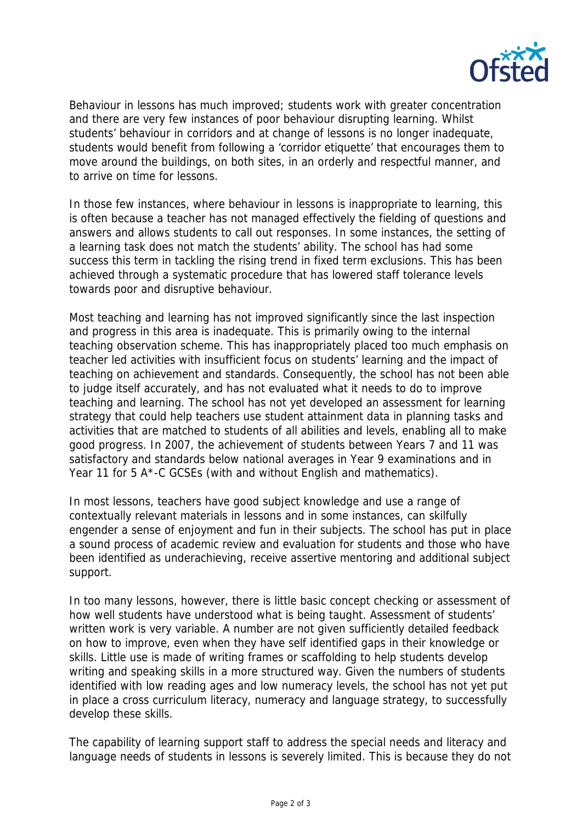

Behaviour in lessons has much improved; students work with greater concentration and there are very few instances of poor behaviour disrupting learning. Whilst students' behaviour in corridors and at change of lessons is no longer inadequate, students would benefit from following a 'corridor etiquette' that encourages them to move around the buildings, on both sites, in an orderly and respectful manner, and to arrive on time for lessons.

In those few instances, where behaviour in lessons is inappropriate to learning, this is often because a teacher has not managed effectively the fielding of questions and answers and allows students to call out responses. In some instances, the setting of a learning task does not match the students' ability. The school has had some success this term in tackling the rising trend in fixed term exclusions. This has been achieved through a systematic procedure that has lowered staff tolerance levels towards poor and disruptive behaviour.

Most teaching and learning has not improved significantly since the last inspection and progress in this area is inadequate. This is primarily owing to the internal teaching observation scheme. This has inappropriately placed too much emphasis on teacher led activities with insufficient focus on students' learning and the impact of teaching on achievement and standards. Consequently, the school has not been able to judge itself accurately, and has not evaluated what it needs to do to improve teaching and learning. The school has not yet developed an assessment for learning strategy that could help teachers use student attainment data in planning tasks and activities that are matched to students of all abilities and levels, enabling all to make good progress. In 2007, the achievement of students between Years 7 and 11 was satisfactory and standards below national averages in Year 9 examinations and in Year 11 for 5 A\*-C GCSEs (with and without English and mathematics).

In most lessons, teachers have good subject knowledge and use a range of contextually relevant materials in lessons and in some instances, can skilfully engender a sense of enjoyment and fun in their subjects. The school has put in place a sound process of academic review and evaluation for students and those who have been identified as underachieving, receive assertive mentoring and additional subject support.

In too many lessons, however, there is little basic concept checking or assessment of how well students have understood what is being taught. Assessment of students' written work is very variable. A number are not given sufficiently detailed feedback on how to improve, even when they have self identified gaps in their knowledge or skills. Little use is made of writing frames or scaffolding to help students develop writing and speaking skills in a more structured way. Given the numbers of students identified with low reading ages and low numeracy levels, the school has not yet put in place a cross curriculum literacy, numeracy and language strategy, to successfully develop these skills.

The capability of learning support staff to address the special needs and literacy and language needs of students in lessons is severely limited. This is because they do not